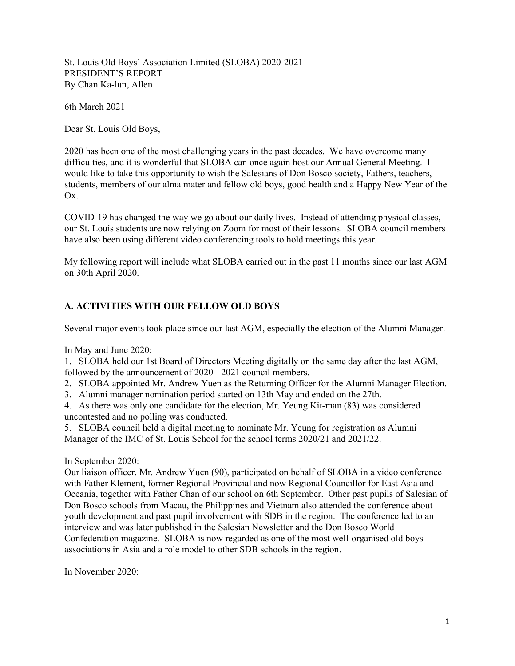St. Louis Old Boys' Association Limited (SLOBA) 2020-2021 PRESIDENT'S REPORT By Chan Ka-lun, Allen

6th March 2021

Dear St. Louis Old Boys,

2020 has been one of the most challenging years in the past decades. We have overcome many difficulties, and it is wonderful that SLOBA can once again host our Annual General Meeting. I would like to take this opportunity to wish the Salesians of Don Bosco society, Fathers, teachers, students, members of our alma mater and fellow old boys, good health and a Happy New Year of the Ox.

COVID-19 has changed the way we go about our daily lives. Instead of attending physical classes, our St. Louis students are now relying on Zoom for most of their lessons. SLOBA council members have also been using different video conferencing tools to hold meetings this year.

My following report will include what SLOBA carried out in the past 11 months since our last AGM on 30th April 2020.

## A. ACTIVITIES WITH OUR FELLOW OLD BOYS

Several major events took place since our last AGM, especially the election of the Alumni Manager.

In May and June 2020:

1. SLOBA held our 1st Board of Directors Meeting digitally on the same day after the last AGM, followed by the announcement of 2020 - 2021 council members.

2. SLOBA appointed Mr. Andrew Yuen as the Returning Officer for the Alumni Manager Election.

3. Alumni manager nomination period started on 13th May and ended on the 27th.

4. As there was only one candidate for the election, Mr. Yeung Kit-man (83) was considered uncontested and no polling was conducted.

5. SLOBA council held a digital meeting to nominate Mr. Yeung for registration as Alumni Manager of the IMC of St. Louis School for the school terms 2020/21 and 2021/22.

In September 2020:

Our liaison officer, Mr. Andrew Yuen (90), participated on behalf of SLOBA in a video conference with Father Klement, former Regional Provincial and now Regional Councillor for East Asia and Oceania, together with Father Chan of our school on 6th September. Other past pupils of Salesian of Don Bosco schools from Macau, the Philippines and Vietnam also attended the conference about youth development and past pupil involvement with SDB in the region. The conference led to an interview and was later published in the Salesian Newsletter and the Don Bosco World Confederation magazine. SLOBA is now regarded as one of the most well-organised old boys associations in Asia and a role model to other SDB schools in the region.

In November 2020: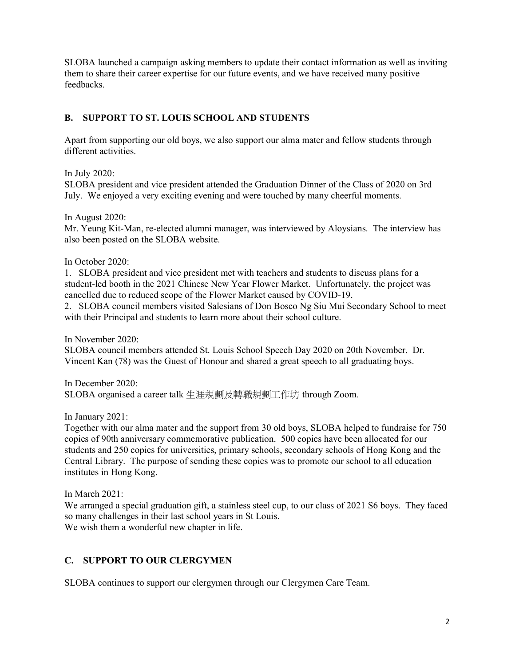SLOBA launched a campaign asking members to update their contact information as well as inviting them to share their career expertise for our future events, and we have received many positive feedbacks.

## B. SUPPORT TO ST. LOUIS SCHOOL AND STUDENTS

Apart from supporting our old boys, we also support our alma mater and fellow students through different activities.

In July 2020:

SLOBA president and vice president attended the Graduation Dinner of the Class of 2020 on 3rd July. We enjoyed a very exciting evening and were touched by many cheerful moments.

In August 2020:

Mr. Yeung Kit-Man, re-elected alumni manager, was interviewed by Aloysians. The interview has also been posted on the SLOBA website.

In October 2020:

1. SLOBA president and vice president met with teachers and students to discuss plans for a student-led booth in the 2021 Chinese New Year Flower Market. Unfortunately, the project was cancelled due to reduced scope of the Flower Market caused by COVID-19.

2. SLOBA council members visited Salesians of Don Bosco Ng Siu Mui Secondary School to meet with their Principal and students to learn more about their school culture.

In November 2020:

SLOBA council members attended St. Louis School Speech Day 2020 on 20th November. Dr. Vincent Kan (78) was the Guest of Honour and shared a great speech to all graduating boys.

In December 2020: SLOBA organised a career talk 生涯規劃及轉職規劃工作坊 through Zoom.

In January 2021:

Together with our alma mater and the support from 30 old boys, SLOBA helped to fundraise for 750 copies of 90th anniversary commemorative publication. 500 copies have been allocated for our students and 250 copies for universities, primary schools, secondary schools of Hong Kong and the Central Library. The purpose of sending these copies was to promote our school to all education institutes in Hong Kong.

In March 2021:

We arranged a special graduation gift, a stainless steel cup, to our class of 2021 S6 boys. They faced so many challenges in their last school years in St Louis. We wish them a wonderful new chapter in life.

## C. SUPPORT TO OUR CLERGYMEN

SLOBA continues to support our clergymen through our Clergymen Care Team.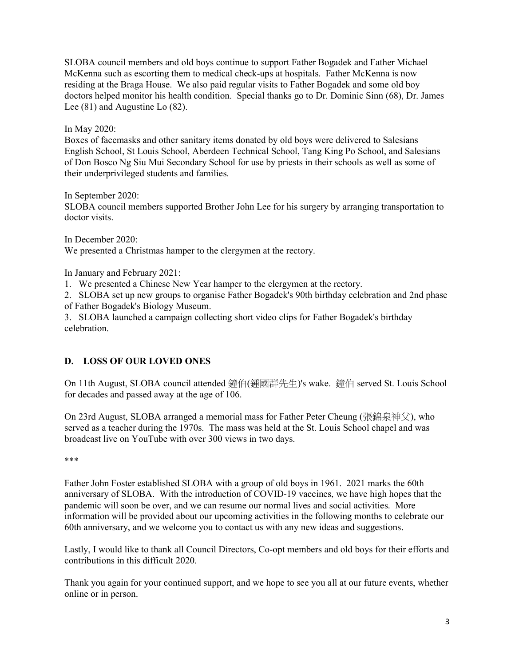SLOBA council members and old boys continue to support Father Bogadek and Father Michael McKenna such as escorting them to medical check-ups at hospitals. Father McKenna is now residing at the Braga House. We also paid regular visits to Father Bogadek and some old boy doctors helped monitor his health condition. Special thanks go to Dr. Dominic Sinn (68), Dr. James Lee (81) and Augustine Lo (82).

In May 2020:

Boxes of facemasks and other sanitary items donated by old boys were delivered to Salesians English School, St Louis School, Aberdeen Technical School, Tang King Po School, and Salesians of Don Bosco Ng Siu Mui Secondary School for use by priests in their schools as well as some of their underprivileged students and families.

In September 2020:

SLOBA council members supported Brother John Lee for his surgery by arranging transportation to doctor visits.

In December 2020: We presented a Christmas hamper to the clergymen at the rectory.

In January and February 2021:

1. We presented a Chinese New Year hamper to the clergymen at the rectory.

2. SLOBA set up new groups to organise Father Bogadek's 90th birthday celebration and 2nd phase of Father Bogadek's Biology Museum.

3. SLOBA launched a campaign collecting short video clips for Father Bogadek's birthday celebration.

## D. LOSS OF OUR LOVED ONES

On 11th August, SLOBA council attended 鐘伯(鍾國群先生)'s wake. 鐘伯 served St. Louis School for decades and passed away at the age of 106.

On 23rd August, SLOBA arranged a memorial mass for Father Peter Cheung (張錦泉神父), who served as a teacher during the 1970s. The mass was held at the St. Louis School chapel and was broadcast live on YouTube with over 300 views in two days.

\*\*\*

Father John Foster established SLOBA with a group of old boys in 1961. 2021 marks the 60th anniversary of SLOBA. With the introduction of COVID-19 vaccines, we have high hopes that the pandemic will soon be over, and we can resume our normal lives and social activities. More information will be provided about our upcoming activities in the following months to celebrate our 60th anniversary, and we welcome you to contact us with any new ideas and suggestions.

Lastly, I would like to thank all Council Directors, Co-opt members and old boys for their efforts and contributions in this difficult 2020.

Thank you again for your continued support, and we hope to see you all at our future events, whether online or in person.